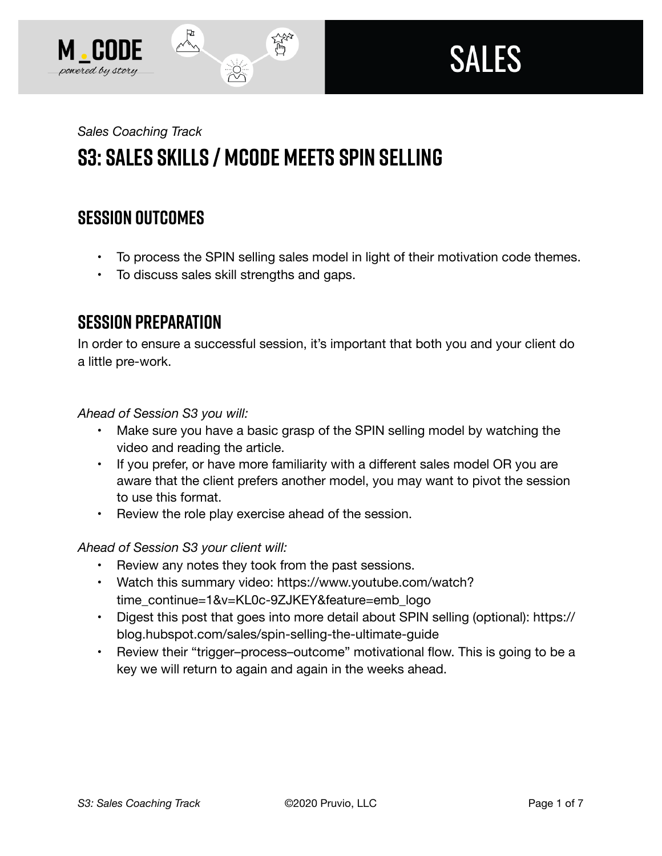



# *Sales Coaching Track*  **S3: Sales Skills / MCODE Meets SPIN Selling**

# **SESSION OUTCOMES**

- To process the SPIN selling sales model in light of their motivation code themes.
- To discuss sales skill strengths and gaps.

### **SESSION PREPARATION**

In order to ensure a successful session, it's important that both you and your client do a little pre-work.

*Ahead of Session S3 you will:* 

- Make sure you have a basic grasp of the SPIN selling model by watching the video and reading the article.
- If you prefer, or have more familiarity with a different sales model OR you are aware that the client prefers another model, you may want to pivot the session to use this format.
- Review the role play exercise ahead of the session.

#### *Ahead of Session S3 your client will:*

- Review any notes they took from the past sessions.
- Watch this summary video: https://www.youtube.com/watch? time\_continue=1&v=KL0c-9ZJKEY&feature=emb\_logo
- Digest this post that goes into more detail about SPIN selling (optional): https:// blog.hubspot.com/sales/spin-selling-the-ultimate-guide
- Review their "trigger-process-outcome" motivational flow. This is going to be a key we will return to again and again in the weeks ahead.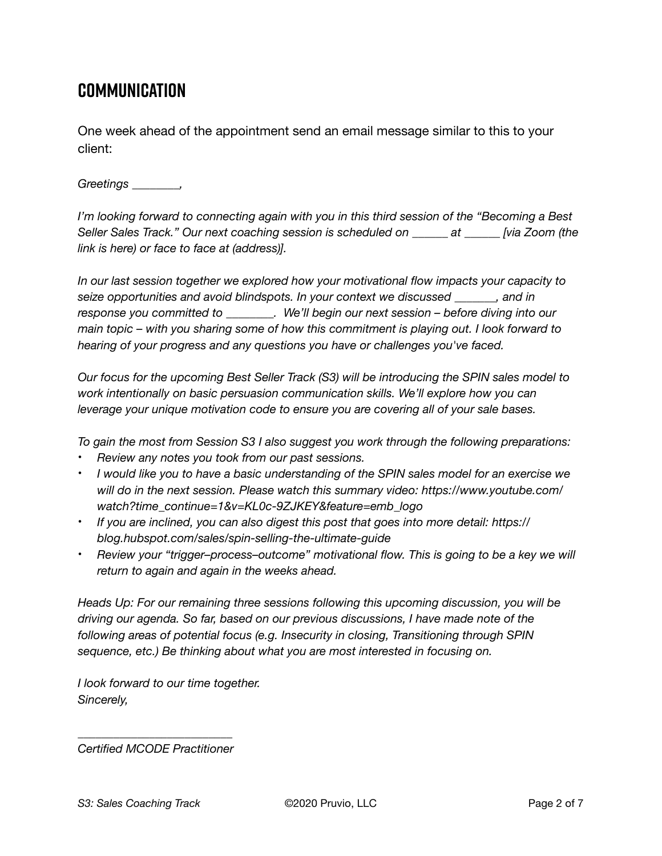## **Communication**

One week ahead of the appointment send an email message similar to this to your client:

#### *Greetings \_\_\_\_\_\_\_\_,*

*I'm looking forward to connecting again with you in this third session of the "Becoming a Best Seller Sales Track." Our next coaching session is scheduled on \_\_\_\_\_\_ at \_\_\_\_\_\_ [via Zoom (the link is here) or face to face at (address)].* 

*In our last session together we explored how your motivational flow impacts your capacity to seize opportunities and avoid blindspots. In your context we discussed \_\_\_\_\_\_\_, and in response you committed to \_\_\_\_\_\_\_\_. We'll begin our next session – before diving into our main topic – with you sharing some of how this commitment is playing out. I look forward to hearing of your progress and any questions you have or challenges you've faced.* 

*Our focus for the upcoming Best Seller Track (S3) will be introducing the SPIN sales model to work intentionally on basic persuasion communication skills. We'll explore how you can leverage your unique motivation code to ensure you are covering all of your sale bases.* 

*To gain the most from Session S3 I also suggest you work through the following preparations:* 

- *Review any notes you took from our past sessions.*
- *I would like you to have a basic understanding of the SPIN sales model for an exercise we will do in the next session. Please watch this summary video: https://www.youtube.com/ watch?time\_continue=1&v=KL0c-9ZJKEY&feature=emb\_logo*
- *If you are inclined, you can also digest this post that goes into more detail: https:// blog.hubspot.com/sales/spin-selling-the-ultimate-guide*
- *Review your "trigger–process–outcome" motivational flow. This is going to be a key we will return to again and again in the weeks ahead.*

*Heads Up: For our remaining three sessions following this upcoming discussion, you will be driving our agenda. So far, based on our previous discussions, I have made note of the following areas of potential focus (e.g. Insecurity in closing, Transitioning through SPIN sequence, etc.) Be thinking about what you are most interested in focusing on.* 

*I look forward to our time together. Sincerely,* 

*\_\_\_\_\_\_\_\_\_\_\_\_\_\_\_\_\_\_\_\_\_\_\_\_\_\_ Certified MCODE Practitioner*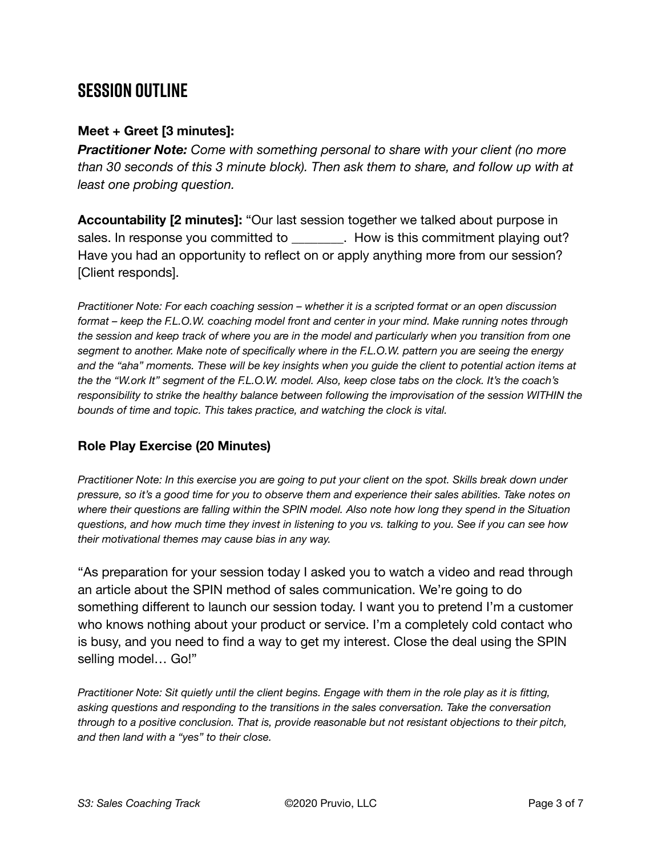## **SESSION OUTLINE**

#### **Meet + Greet [3 minutes]:**

*Practitioner Note: Come with something personal to share with your client (no more than 30 seconds of this 3 minute block). Then ask them to share, and follow up with at least one probing question.* 

**Accountability [2 minutes]:** "Our last session together we talked about purpose in sales. In response you committed to **Example 20 Server**. How is this commitment playing out? Have you had an opportunity to reflect on or apply anything more from our session? [Client responds].

*Practitioner Note: For each coaching session – whether it is a scripted format or an open discussion format – keep the F.L.O.W. coaching model front and center in your mind. Make running notes through the session and keep track of where you are in the model and particularly when you transition from one segment to another. Make note of specifically where in the F.L.O.W. pattern you are seeing the energy and the "aha" moments. These will be key insights when you guide the client to potential action items at the the "W.ork It" segment of the F.L.O.W. model. Also, keep close tabs on the clock. It's the coach's responsibility to strike the healthy balance between following the improvisation of the session WITHIN the bounds of time and topic. This takes practice, and watching the clock is vital.*

#### **Role Play Exercise (20 Minutes)**

*Practitioner Note: In this exercise you are going to put your client on the spot. Skills break down under pressure, so it's a good time for you to observe them and experience their sales abilities. Take notes on where their questions are falling within the SPIN model. Also note how long they spend in the Situation questions, and how much time they invest in listening to you vs. talking to you. See if you can see how their motivational themes may cause bias in any way.* 

"As preparation for your session today I asked you to watch a video and read through an article about the SPIN method of sales communication. We're going to do something different to launch our session today. I want you to pretend I'm a customer who knows nothing about your product or service. I'm a completely cold contact who is busy, and you need to find a way to get my interest. Close the deal using the SPIN selling model… Go!"

*Practitioner Note: Sit quietly until the client begins. Engage with them in the role play as it is fitting, asking questions and responding to the transitions in the sales conversation. Take the conversation through to a positive conclusion. That is, provide reasonable but not resistant objections to their pitch, and then land with a "yes" to their close.*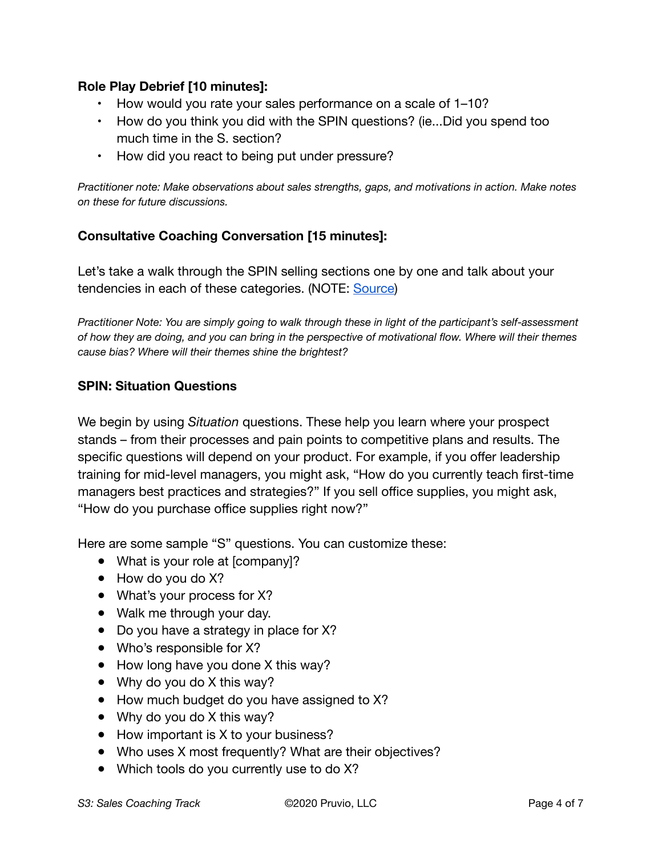#### **Role Play Debrief [10 minutes]:**

- How would you rate your sales performance on a scale of 1–10?
- How do you think you did with the SPIN questions? (ie...Did you spend too much time in the S. section?
- How did you react to being put under pressure?

*Practitioner note: Make observations about sales strengths, gaps, and motivations in action. Make notes on these for future discussions.* 

#### **Consultative Coaching Conversation [15 minutes]:**

Let's take a walk through the SPIN selling sections one by one and talk about your tendencies in each of these categories. (NOTE: [Source\)](https://blog.hubspot.com/sales/spin-selling-the-ultimate-guide)

*Practitioner Note: You are simply going to walk through these in light of the participant's self-assessment of how they are doing, and you can bring in the perspective of motivational flow. Where will their themes cause bias? Where will their themes shine the brightest?*

#### **SPIN: Situation Questions**

We begin by using *Situation* questions. These help you learn where your prospect stands – from their processes and pain points to competitive plans and results. The specific questions will depend on your product. For example, if you offer leadership training for mid-level managers, you might ask, "How do you currently teach first-time managers best practices and strategies?" If you sell office supplies, you might ask, "How do you purchase office supplies right now?"

Here are some sample "S" questions. You can customize these:

- What is your role at [company]?
- How do you do X?
- What's your process for X?
- Walk me through your day.
- Do you have a strategy in place for X?
- Who's responsible for X?
- How long have you done X this way?
- Why do you do X this way?
- How much budget do you have assigned to X?
- Why do you do X this way?
- How important is X to your business?
- Who uses X most frequently? What are their objectives?
- Which tools do you currently use to do X?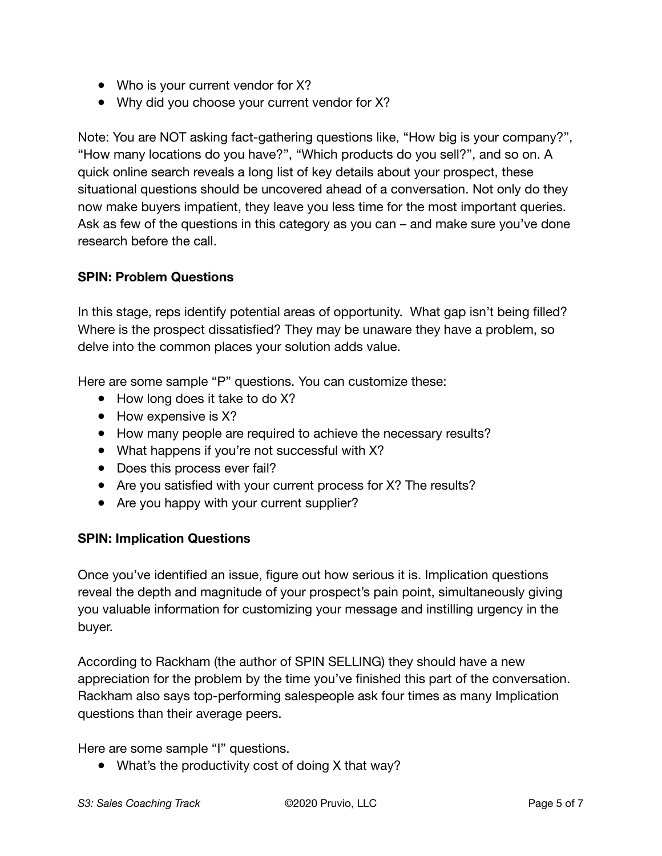- Who is your current vendor for X?
- Why did you choose your current vendor for X?

Note: You are NOT asking fact-gathering questions like, "How big is your company?", "How many locations do you have?", "Which products do you sell?", and so on. A quick online search reveals a long list of key details about your prospect, these situational questions should be uncovered ahead of a conversation. Not only do they now make buyers impatient, they leave you less time for the most important queries. Ask as few of the questions in this category as you can – and make sure you've done research before the call.

#### **SPIN: Problem Questions**

In this stage, reps identify potential areas of opportunity. What gap isn't being filled? Where is the prospect dissatisfied? They may be unaware they have a problem, so delve into the common places your solution adds value.

Here are some sample "P" questions. You can customize these:

- How long does it take to do X?
- How expensive is X?
- How many people are required to achieve the necessary results?
- What happens if you're not successful with X?
- Does this process ever fail?
- Are you satisfied with your current process for X? The results?
- Are you happy with your current supplier?

#### **SPIN: Implication Questions**

Once you've identified an issue, figure out how serious it is. Implication questions reveal the depth and magnitude of your prospect's pain point, simultaneously giving you valuable information for customizing your message and instilling urgency in the buyer.

According to Rackham (the author of SPIN SELLING) they should have a new appreciation for the problem by the time you've finished this part of the conversation. Rackham also says top-performing salespeople ask four times as many Implication questions than their average peers.

Here are some sample "I" questions.

• What's the productivity cost of doing X that way?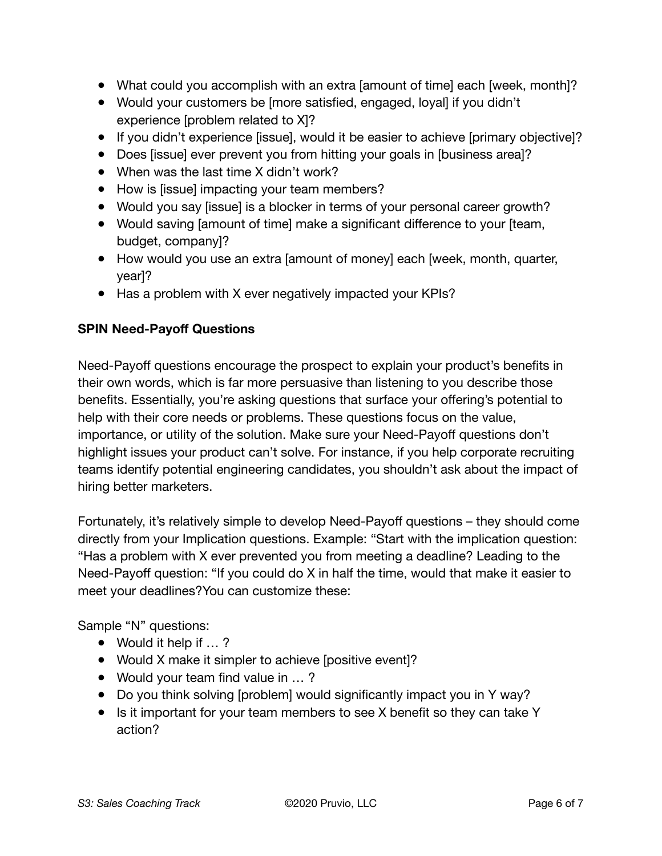- What could you accomplish with an extra [amount of time] each [week, month]?
- Would your customers be [more satisfied, engaged, loyal] if you didn't experience [problem related to X]?
- If you didn't experience [issue], would it be easier to achieve [primary objective]?
- Does [issue] ever prevent you from hitting your goals in [business area]?
- When was the last time X didn't work?
- How is [issue] impacting your team members?
- Would you say [issue] is a blocker in terms of your personal career growth?
- Would saving [amount of time] make a significant difference to your [team, budget, company]?
- How would you use an extra [amount of money] each [week, month, quarter, year]?
- Has a problem with X ever negatively impacted your KPIs?

#### **SPIN Need-Payoff Questions**

Need-Payoff questions encourage the prospect to explain your product's benefits in their own words, which is far more persuasive than listening to you describe those benefits. Essentially, you're asking questions that surface your offering's potential to help with their core needs or problems. These questions focus on the value, importance, or utility of the solution. Make sure your Need-Payoff questions don't highlight issues your product can't solve. For instance, if you help corporate recruiting teams identify potential engineering candidates, you shouldn't ask about the impact of hiring better marketers.

Fortunately, it's relatively simple to develop Need-Payoff questions – they should come directly from your Implication questions. Example: "Start with the implication question: "Has a problem with X ever prevented you from meeting a deadline? Leading to the Need-Payoff question: "If you could do X in half the time, would that make it easier to meet your deadlines?You can customize these:

Sample "N" questions:

- Would it help if ...?
- Would X make it simpler to achieve [positive event]?
- Would your team find value in ...?
- Do you think solving [problem] would significantly impact you in Y way?
- Is it important for your team members to see X benefit so they can take Y action?